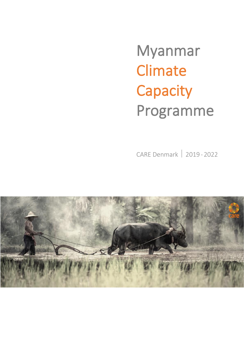Myanmar **Climate Capacity** Programme

CARE Denmark 2019- 2022

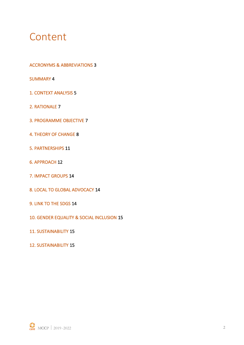### Content

ACCRONYMS & ABBREVIATIONS 3

SUMMARY 4

- 1. CONTEXT ANALYSIS 5
- 2. RATIONALE 7
- 3. PROGRAMME OBJECTIVE 7
- 4. THEORY OF CHANGE 8
- 5. PARTNERSHIPS 11
- 6. APPROACH 12
- 7. IMPACT GROUPS 14
- 8. LOCAL TO GLOBAL ADVOCACY 14
- 9. LINK TO THE SDGS 14
- 10. GENDER EQUALITY & SOCIAL INCLUSION 15
- 11. SUSTAINABILITY 15
- 12. SUSTAINABILITY 15

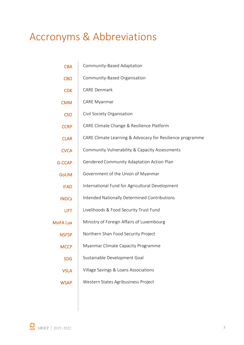# Accronyms & Abbreviations

| <b>CBA</b>      | Community-Based Adaptation                                |
|-----------------|-----------------------------------------------------------|
| <b>CBO</b>      | Community-Based Organisation                              |
| <b>CDK</b>      | <b>CARE Denmark</b>                                       |
| <b>CMM</b>      | <b>CARE Myanmar</b>                                       |
| <b>CSO</b>      | Civil Society Organisation                                |
| <b>CCRP</b>     | CARE Climate Change & Resilience Platform                 |
| <b>CLAR</b>     | CARE Climate Learning & Advocacy for Resilience programme |
| <b>CVCA</b>     | Community Vulnerability & Capacity Assessments            |
| <b>G-CCAP</b>   | <b>Gendered Community Adaptation Action Plan</b>          |
| <b>GoUM</b>     | Government of the Union of Myanmar                        |
| <b>IFAD</b>     | International Fund for Agricultural Development           |
| <b>INDCs</b>    | Intended Nationally Determined Contributions              |
| <b>LIFT</b>     | Livelihoods & Food Security Trust Fund                    |
| <b>MoFA Lux</b> | Ministry of Foreign Affairs of Luxembourg                 |
| <b>NSFSP</b>    | Northern Shan Food Security Project                       |
| <b>MCCP</b>     | Myanmar Climate Capacity Programme                        |
| <b>SDG</b>      | Sustainable Development Goal                              |
| <b>VSLA</b>     | Village Savings & Loans Associations                      |
| <b>WSAP</b>     | Western States Agribusiness Project                       |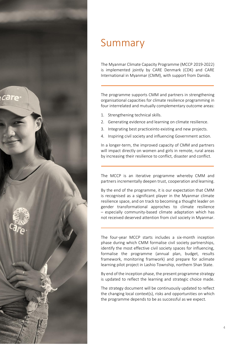

### Summary

The Myanmar Climate Capacity Programme (MCCP 2019-2022) is implemented jointly by CARE Denmark (CDK) and CARE International in Myanmar (CMM), with support from Danida.

The programme supports CMM and partners in strengthening organisational capacities for climate resilience programming in four interrelated and mutually complementary outcome areas:

- 1. Strengthening technical skills.
- 2. Generating evidence and learning on climate resilience.
- 3. Integrating best practiceinto existing and new projects.
- 4. Inspiring civil society and influencing Government action.

In a longer-term, the improved capacity of CMM and partners will impact directly on women and girls in remote, rural areas by increasing their resilience to conflict, disaster and conflict.

The MCCP is an iterative programme whereby CMM and partners incrementally deepen trust, cooperation and learning.

By the end of the programme, it is our expectation that CMM is recognised as a significant player in the Myanmar climate resilience space, and on track to becoming a thought leader on gender transformational approches to climate resilience – especially community-based climate adaptation which has not received deserved attention from civil society in Myanmar.

The four-year MCCP starts includes a six-month inception phase during which CMM formalise civil society partnerships, identify the most effective civil society spaces for influencing, formalise the programme (annual plan, budget, results framework, monitoring framwork) and prepare for aclimate learning pilot project in Lashio Township, northern Shan State.

By end of the inception phase, the present programme strategy is updated to reflect the learning and strategic choice made.

The strategy document will be continuously updated to reflect the changing local context(s), risks and opportunities on which the programme depends to be as successful as we expect.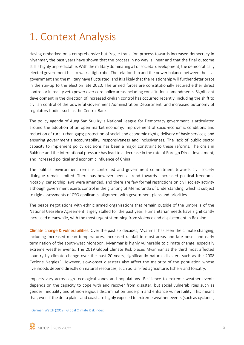# 1. Context Analysis

Having embarked on a comprehensive but fragile transition process towards increased democracy in Myanmar, the past years have shown that the process in no way is linear and that the final outcome still is highly unpredictable. With the military dominating all of societal development, the democratically elected government has to walk a tightrobe. The relationship and the power balance between the civil government and the military have fluctuated, and it is likely that the relationship will further deteriorate in the run-up to the election late 2020. The armed forces are constitutionally secured either direct control or in reality veto power over core policy areas including constitutional amendments. Significant development in the direction of increased civilian control has occurred recently, including the shift to civilian control of the powerful Government Administration Department, and increased autonomy of regulatory bodies such as the Central Bank.

The policy agenda of Aung San Suu Kyi's National League for Democracy government is articulated around the adoption of an open market economy; improvement of socio-economic conditions and reduction of rural-urban gaps; protection of social and economic rights; delivery of basic services; and ensuring government's accountability, responsiveness and inclusiveness. The lack of public sector capacity to implement policy decisions has been a major constraint to these reforms. The crisis in Rakhine and the international pressure has lead to a decrease in the rate of Foreign Direct Investment, and increased political and economic influence of China.

The political environment remains controlled and government commitment towards civil society dialogue remain limited. There has however been a trend towards increased political freedoms. Notably, censorship laws were amended, and there are few formal restrictions on civil society activity although government exerts control in the granting of Memoranda of Understanding, which is subject to rigid assessments of CSO applicants' alignment with government plans and priorities.

The peace negotiations with ethnic armed organisations that remain outside of the umbrella of the National Ceasefire Agreement largely stalled for the past year. Humanitarian needs have significantly increased meanwhile, with the most urgent stemming from violence and displacement in Rakhine.

Climate change & vulnerabilities. Over the past six decades, Myanmar has seen the climate changing, including increased mean temperatures, increased rainfall in most areas and late onset and early termination of the south-west Monsoon. Myanmar is highly vulnerable to climate change, especially extreme weather events. The 2019 Global Climate Risk places Myanmar as the third most affected country by climate change over the past 20 years, significantly natural disasters such as the 2008 Cyclone Nargies.<sup>1</sup> However, slow-onset disasters also affect the majority of the population whose livelihoods depend directly on natural resources, such as rain-fed agriculture, fishery and forsatry.

Impacts vary across agro-ecological zones and populations. Resilience to extreme weather events depends on the capacity to cope with and recover from disaster, but social vulnerabilities such as gender inequality and ethno-religious discrimination underpin and enhance vulnerability. This means that, even if the delta plains and coast are highly exposed to extreme weather events (such as cyclones,

<sup>1</sup> [German Watch \(2019\): Global Climate Risk Index.](https://www.germanwatch.org/sites/germanwatch.org/files/Global%20Climate%20Risk%20Index%202019_2.pdf)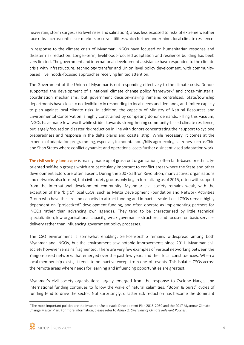heavy rain, storm surges, sea level rises and salination), areas less exposed to risks of extreme weather face risks such as conflicts or markets price volatilities which further undermines local climate resilience.

In response to the climate crisis of Myanmar, INGOs have focused on humanitarian response and disaster risk reduction. Longer-term, livelihoods-focused adaptation and resilience building has beeb very limited. The government and international development assistance have responded to the climate crisis with infrastructure, technology transfer and Union level policy development, with communitybased, livelihoods-focused approaches receiving limited attention.

The Government of the Union of Myanmar is not responding effectively to the climate crisis. Donors supported the development of a national climate change policy framework<sup>2</sup> and cross-ministerial coordination mechanisms, but government decision-making remains centralized. State/township departments have close to no flexibikuty in responding to local needs and demands, and limited capaciy to plan against local climate risks. In addition, the capacity of Ministry of Natural Resources and Environmental Conservation is highly constrained by competing donor demands. Filling this vacuum, INGOs have made few, worthwhile strides towards strengthening community-based climate resilience, but largely focused on disaster risk reduction in line with donors concentrating their support to cyclone preparedness and response in the delta plains and coastal strip. While necessary, it comes at the expense of adaptation programming, especially in mountainous/hilly agro-ecological zones such as Chin and Shan States where conflict dynamics and operational costs further disincentivised adaptation work.

The civil society landscape is mainly made up of grassroot organisations, often faith-based or ethnicityoriented self-help groups which are particularly important to conflict areas where the State and other development actors are often absent. During the 2007 Saffron Revolution, many activist organisations and networks also formed, but civil society groups only began formalizing as of 2015, often with support from the international development community. Myanmar civil society remains weak, with the exception of the "big 5" local CSOs, such as Metta Development Foundation and Network Activities Group who have the size and capacity to attract funding and impact at scale. Local CSOs remain highly dependent on "projectized" development funding, and often operate as implementing partners for INGOs rather than advancing own agendas. They tend to be characterised by little technical specialization, low organisational capacity, weak governance structures and focused on basic services delivery rather than influencing government policy processes.

The CSO environment is somewhat enabling. Self-censorship remains widespread among both Myanmar and INGOs, but the environment saw notable improvements since 2011. Myanmar civil society however remains fragmented. There are very few examples of vertical networking between the Yangon-based networks that emerged over the past few years and their local constituencies. When a local membership exists, it tends to be inactive except from one-off events. This isolates CSOs across the remote areas where needs for learning and influencing opportunities are greatest.

Myanmar's civil society organisations largely emerged from the response to Cyclone Nargis, and international funding continues to follow the wake of natural calamities. "Boom & burst" cycles of funding tend to drive the sector. Not surprisingly, disaster risk reduction has become the dominant

<sup>2</sup> The most important policies are the Myanmar Sustainable Development Plan 2018-2030 and the 2017 Myanmar Climate Change Master Plan. For more information, please refer to *Annex 2: Overview of Climate Relevant Policies*.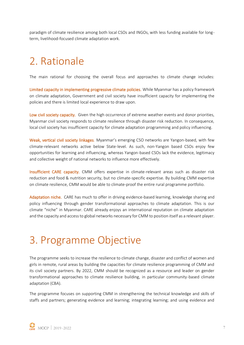paradigm of climate resilience among both local CSOs and INGOs, with less funding available for longterm, livelihood-focused climate adaptation work.

## 2. Rationale

The main rational for choosing the overall focus and approaches to climate change includes:

Limited capacity in implementing progressive climate policies. While Myanmar has a policy framework on climate adaptation, Government and civil society have insufficient capacity for implementing the policies and there is limited local experience to draw upon.

Low civil society capacity. Given the high occurrence of extreme weather events and donor priorities, Myanmar civil society responds to climate resilience through disaster risk reduction. In consequence, local civil society has insufficient capacity for climate adaptation programming and policy influencing.

Weak, vertical civil society linkages. Myanmar's emerging CSO networks are Yangon-based, with few climate-relevant networks active below State-level. As such, non-Yangon based CSOs enjoy few opportunities for learning and influencing, whereas Yangon-based CSOs lack the evidence, legitimacy and collective weight of national networks to influence more effectively.

Insufficient CARE capacity. CMM offers expertise in climate-relevant areas such as disaster risk reduction and food & nutrition security, but no climate-specific expertise. By building CMM expertise on climate resilience, CMM would be able to climate-proof the entire rural programme portfolio.

Adaptation niche. CARE has much to offer in driving evidence-based learning, knowledge sharing and policy influencing through gender transformational approaches to climate adaptation. This is our climate "niche" in Myanmar. CARE already enjoys an international reputation on climate adaptation and the capacity and access to global networks necessary for CMM to position itself as a relevant player.

## 3. Programme Objective

The programme seeks to increase the resilience to climate change, disaster and conflict of women and girls in remote, rural areas by building the capacities for climate resilience programming of CMM and its civil society partners. By 2022, CMM should be recognized as a resource and leader on gender transformational approaches to climate resilience building, in particular community-based climate adaptation (CBA).

The programme focuses on supporting CMM in strengthening the technical knowledge and skills of staffs and partners; generating evidence and learning; integrating learning; and using evidence and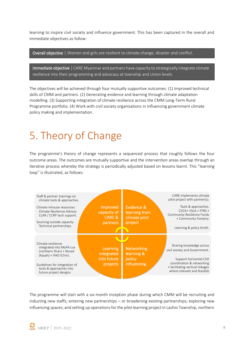learning to inspire civil society and influence government. This has been captured in the overall and immediate objectives as follow:

Overall objective | Women and girls are resilient to climate change, disaster and conflict.

Immediate objective | CARE Myanmar and partners have capacity to strategically integrate climate resilience into their programming and advocacy at township and Union levels.

The objectives will be achieved through four mutually supportive outcomes: (1) Improved technical skills of CMM and partners. (2) Generating evidence and learning through climate adaptation modelling. (3) Supporting integration of climate resilience across the CMM Long-Term Rural Programme portfolio. (4) Work with civil society organisations in influencing government climate policy making and implementation.

# 5. Theory of Change

The programme's theory of change represents a sequenced process that roughly follows the four outcome areas. The outcomes are mutually supportive and the intervention areas overlap through an iterative process whereby the strategy is periodically adjusted based on lessons learnt. This "learning loop" is illustrated, as follows:



The programme will start with a six-month inception phase during which CMM will be recruiting and inducting new staffs; entering new partnerships – or broadening existing partnerships; exploring new influencing spaces; and setting up operations for the pilot learning project in Lashio Township, northern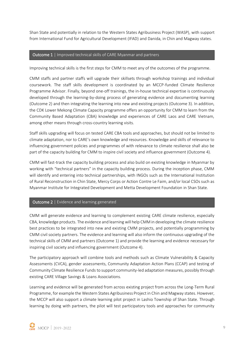Shan State and potentially in relation to the Western States Agribusiness Project (WASP), with support from International Fund for Agricultural Development (IFAD) and Danida, in Chin and Magway states.

#### Outcome 1 | Improved technical skills of CARE Myanmar and partners

Improving technical skills is the first steps for CMM to meet any of the outcomes of the programme.

CMM staffs and partner staffs will upgrade their skillsets through workshop trainings and individual coursework. The staff skills development is coordinated by an MCCP-funded Climate Resilience Programme Advisor. Finally, beyond one-off trainings, the in-house technical expertise is continuously developed through the learning-by-doing process of generating evidence and documenting learning (Outcome 2) and then integrating the learning into new and existing projects (Outcome 3). In addition, the CDK Lower Mekong Climate Capacity programme offers an opportunity for CMM to learn from the Community Based Adaptation (CBA) knowledge and experiences of CARE Laos and CARE Vietnam, among other means through cross-country learning visits.

Staff skills upgrading will focus on tested CARE CBA tools and approaches, but should not be limited to climate adaptation, nor to CARE's own knowledge and resources. Knowledge and skills of relevance to influencing government policies and programmes of with relevance to climate resilience shall also be part of the capacity building for CMM to inspire civil society and influence government (Outcome 4).

CMM will fast-track the capacity building process and also build on existing knowledge in Myanmar by working with "technical partners" in the capacity building process. During the inception phase, CMM will identify and entering into technical partnerships, with INGOs such as the International Institution of Rural Reconstruction in Chin State, Mercy Corps or Action Contre Le Faim, and/or local CSOs such as Myanmar Institute for Integrated Development and Metta Development Foundation in Shan State.

#### Outcome 2 | Evidence and learning generated

CMM will generate evidence and learning to complement existing CARE climate resilience, especially CBA, knowledge products. The evidence and learning will help CMM in developing the climate resilience best practices to be integrated into new and existing CMM projects, and potentially programming by CMM civil society partners. The evidence and learning will also inform the continuous upgrading of the technical skills of CMM and partners (Outcome 1) and provide the learning and evidence necessary for inspiring civil society and influencing government (Outcome 4).

The participatory approach will combine tools and methods such as Climate Vulnerability & Capacity Assessments (CVCA), gender assessments, Community Adaptation Action Plans (CCAP) and testing of Community Climate Resilience Funds to support community-led adaptation measures, possibly through existing CARE Village Savings & Loans Associations.

Learning and evidence will be generated from across existing project from across the Long-Term Rural Programme, for example the Western States Agribusiness Project in Chin and Magway states. However, the MCCP will also support a climate learning pilot project in Lashio Township of Shan State. Through learning by doing with partners, the pilot will test participatory tools and approaches for community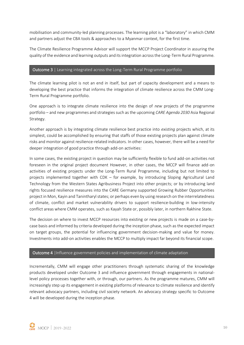mobilisation and community-led planning processes. The learning pilot is a "laboratory" in which CMM and partners adjust the CBA tools & approaches to a Myanmar context, for the first time.

The Climate Resilience Programme Advisor will support the MCCP Project Coordinator in assuring the quality of the evidence and learning outputs and its integration across the Long-Term Rural Programme.

#### Outcome 3 | Learning integrated across the Long-Term Rural Programme portfolio

The climate learning pilot is not an end in itself, but part of capacity development and a means to developing the best practice that informs the integration of climate resilience across the CMM Long-Term Rural Programme portfolio.

One approach is to integrate climate resilience into the design of *new* projects of the programme portfolio – and new programmes and strategies such as the upcoming *CARE Agenda 2030* Asia Regional Strategy.

Another approach is by integrating climate resilience best practice into *existing* projects which, at its simplest, could be accomplished by ensuring that staffs of those existing projects plan against climate risks and monitor against resilience-related indicators. In other cases, however, there will be a need for deeper integration of good practice through add-on activities:

In some cases, the existing project in question may be sufficiently flexible to fund add-on activities not foreseen in the original project document However, in other cases, the MCCP will finance add-on activities of existing projects under the Long-Term Rural Programme, including but not limited to projects implemented together with CDK – for example, by introducing Sloping Agricultural Land Technology from the Western States Agribusiness Project into other projects; or by introducing land rights focused resilience measures into the CARE Germany supported Growing Rubber Opportunities project in Mon, Kayin and Tanintharyl states; or perhaps even by using research on the interrelatedness of climate, conflict and market vulnerability drivers to support resilience-building in low-intensity conflict areas where CMM operates, such as Kayah State or, possibly later, in northern Rakhine State.

The decision on where to invest MCCP resources into existing or new projects is made on a case-bycase basis and informed by criteria developed during the inception phase, such as the expected impact on target groups, the potential for influencing government decision-making and value for money. Investments into add-on activities enables the MCCP to multiply impact far beyond its financial scope.

#### Outcome 4 |Influence government policies and implementation of climate adaptation

Incrementally, CMM will engage other practitioners through systematic sharing of the knowledge products developed under Outcome 3 and influence government through engagements in nationallevel policy processes together with, or through, our partners. As the programme matures, CMM will increasingly step up its engagement in existing platforms of relevance to climate resilience and identify relevant advocacy partners, including civil society network. An advocacy strategy specific to Outcome 4 will be developed during the inception phase.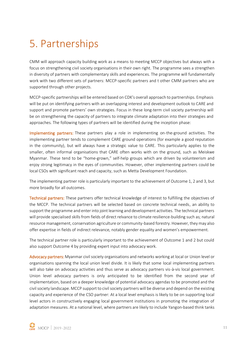## 5. Partnerships

CMM will approach capacity building work as a means to meeting MCCP objectives but always with a focus on strengthening civil society organisations in their own right. The programme sees a strengthen in diversity of partners with complementary skills and experiences. The programme will fundamentally work with two different sets of partners: MCCP-specific partners and t other CMM partners who are supported through other projects.

MCCP-specific partnerships will be entered based on CDK's overall approach to partnerships. Emphasis will be put on identifying partners with an overlapping interest and development outlook to CARE and support and promote partners' own strategies. Focus in these long-term civil society partnership will be on strengthening the capacity of partners to integrate climate adaptation into their strategies and approaches. The following types of partners will be identified during the inception phase:

Implementing partners: These partners play a role in implementing on-the-ground activities. The implementing partner tends to complement CARE ground operations (for example a good reputation in the community), but will always have a strategic value to CARE. This particularly applies to the smaller, often informal organisations that CARE often works with on the ground, such as Meiskwe Myanmar. These tend to be "home-grown," self-help groups which are driven by volunteerism and enjoy strong legitimacy in the eyes of communities. However, other implementing partners could be local CSOs with significant reach and capacity, such as Metta Development Foundation.

The implementing partner role is particularly important to the achievement of Outcome 1, 2 and 3, but more broadly for all outcomes.

Technical partners: These partners offer technical knowledge of interest to fulfilling the objectives of the MCCP. The technical partners will be selected based on concrete technical needs, an ability to support the programme and enter into joint learning and development activities. The technical partners will provide specialised skills from fields of direct relvance to climate resilience-building such as; natural resource management, conservation agriculture or community-based forestry. However, they may also offer expertise in fields of indirect relevance, notably gender equality and women's empowerment.

The technical partner role is particularly important to the achievement of Outcome 1 and 2 but could also support Outcome 4 by providing expert input into advocacy work.

Advocacy partners: Myanmar civil society organisations and networks working at local or Union level or organisations spanning the local union level divide. It is likely that some local implementing partners will also take on advocacy activities and thus serve as advocacy partners vis-à-vis local government. Union level advocacy partners is only anticipated to be identified from the second year of implementation, based on a deeper knowledge of potential advocacy agendas to be promoted and the civil society landscape. MCCP support to civil society partners will be diverse and depend on the existing capacity and experience of the CSO partner: At a local level emphasis is likely to be on supporting local level actors in constructively engaging local government institutions in promoting the integration of adaptation measures. At a national level, where partners are likely to include Yangon-based think tanks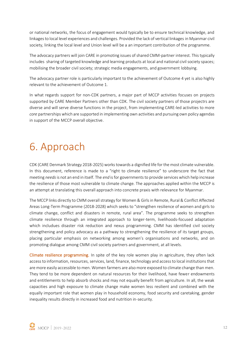or national networks, the focus of engagement would typically be to ensure technical knowledge, and linkages to local level experiences and challenges. Provided the lack of vertical linkages in Myanmar civil society, linking the local level and Union level will be a an important contribution of the programme.

The advocacy partners will join CARE in promoting issues of shared CMM-partner interest. This typically includes sharing of targeted knowledge and learning products at local and national civil society spaces; mobilising the broader civil society; strategic media engagements, and government lobbying.

The advocacy partner role is particularly important to the achievement of Outcome 4 yet is also highly relevant to the achievement of Outcome 1.

In what regards support for non-CDK partners, a major part of MCCP activities focuses on projects supported by CARE Member Partners other than CDK. The civil society partners of those projectrs are diverse and will serve diverse functions in the project, from implementing CARE-led activities to more *core* partnerships which are supported in implementing own activities and pursuing own policy agendas in support of the MCCP overall objective.

## 6. Approach

CDK (CARE Denmark Strategy 2018-2025) works towards a dignified life for the most climate vulnerable. In this document, reference is made to a "right to climate resilience" to underscore the fact that meeting *needs*is not an end in itself. The *end* is for governments to provide services which help increase the resilience of those most vulnerable to climate change. The approaches applied within the MCCP is an attempt at translating this overall approach into concrete praxis with relevance for Myanmar.

The MCCP links directly to CMM overall strategy for Women & Girls in Remote, Rural & Conflict Affected Areas Long-Term Programme (2018-2028) which seeks to "strengthen resilience of women and girls to climate change, conflict and disasters in remote, rural area". The programme seeks to strengthen climate resilience through an integrated approach to longer-term, livelihoods-focused adaptation which includues disaster risk reduction and nexus programming. CMM has identified civil society strengthening and policy advocacy as a pathway to strengthening the resilience of its target groups, placing particular emphasis on networking among women's organisations and networks, and on promoting dialogue among CMM civil society partners and government, at all levels.

Climate resilience programming. In spite of the key role women play in agriculture, they often lack access to information, resources, services, land, finance, technology and access to local institutions that are more easily accessible to men. Women farmers are also more exposed to climate change than men. They tend to be more dependent on natural resources for their livelihood, have fewer endowments and entitlements to help absorb shocks and may not equally benefit from agriculture. In all, the weak capacities and high exposure to climate change make women less resilient and combined with the equally important role that women play in household economy, food security and caretaking, gender inequality results directly in increased food and nutrition in-security.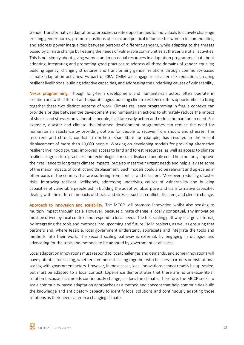Gender transformative adaptation approaches create opportunities for individuals to actively challenge existing gender norms, promote positions of social and political influence for women in communities, and address power inequalities between persons of different genders, while adapting to the threats posed by climate change by keeping the needs of vulnerable communities at the centre of all activities. This is not simply about giving women and men equal resources in adaptation programmes but about adopting, integrating and promoting good practices to address all three domains of gender equality; building agency, changing structures and transforming gender relations through community-based climate adaptation activities. As part of CBA, CMM will engage in disaster risk reduction, creating resilient livelihoods, building adaptive capacities, and addressing the underlying causes of vulnerability.

Nexus programming. Though long-term development and humanitarian actors often operate in isolation and with different and separate logics, building climate resilience offers opportunities to bring together these two distinct systems of work. Climate resilience programming in fragile contexts can provide a bridge between the development and humanitarian actions to ultimately reduce the impact of shocks and stresses on vulnerable people, facilitate early action and reduce humanitarian need. For example, disaster and climate risk informed development programmes can reduce the need for humanitarian assistance by providing options for people to recover from shocks and stresses. The recurrent and chronic conflict in northern Shan State for example, has resulted in the recent displacement of more than 10,000 people. Working on developing models for providing alternative resilient livelihood sources, improved access to land and forest resources, as well as access to climate resilience agriculture practices and technologies for such displaced people could help not only improve their resilience to long-term climate impacts, but also meet their urgent needs and help alleviate some of the major impacts of conflict and displacement. Such models could also be relevant and up-scaled in other parts of the country that are suffering from conflict and disasters. Moreover, reducing disaster risks, improving resilient livelihoods, addressing underlying causes of vulnerability and building capacities of vulnerable people aid in building the adaptive, absorptive and transformative capacities dealing with the different impacts of shocks and stresses such as conflict, disasters, and climate change.

Approach to innovation and scalability. The MCCP will promote innovation whilst also seeking to multiply impact through scale. However, because climate change is locally contextual, any innovation must be driven by local context and respond to local needs. The first scaling pathway is largely internal, by integrating the tools and methods into upcoming and future CMM projects, as well as ensuring that partners and, where feasible, local government understand, appreciate and integrate the tools and methods into their work. The second scaling pathway is external, by engaging in dialogue and advocating for the tools and methods to be adopted by government at all levels.

Local adaptation innovations must respond to local challenges and demands, and some innovations will have potential for scaling, whether commercial scaling together with business partners or institutional scaling with government actors. However, in most cases, local innovations cannot readily be up-scaled, but must be adapted to a local context: Experience demonstrates that there are no one-size-fits-all solution because local needs continuously change, as does the climate. Therefore, the MCCP seeks to scale community-based adaptation approaches as a method and concept that help communities build the knowledge and anticipatory capacity to identify local solutions and continuously adapting those solutions as their needs alter in a changing climate.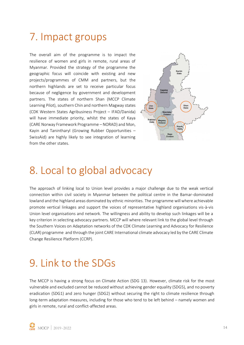## 7. Impact groups

The overall aim of the programme is to impact the resilience of women and girls in remote, rural areas of Myanmar. Provided the strategy of the programme the geographic focus will coincide with existing and new projects/programmes of CMM and partners, but the northern highlands are set to receive particular focus because of negligence by government and development partners. The states of northern Shan (MCCP Climate Learning Pilot), southern Chin and northern Magway states (CDK Western States Agribusiness Project – IFAD/Danida) will have immediate priority, whilst the states of Kaya (CARE Norway Framework Programme – NORAD) and Mon, Kayin and Tanintharyl (Growing Rubber Opportunities – SwissAid) are highly likely to see integration of learning from the other states.



### 8. Local to global advocacy

The approach of linking local to Union level provides a major challenge due to the weak vertical connection within civil society in Myanmar between the political centre in the Bamar-dominated lowland and the highland areas dominated by ethnic minorities. The programme will where achievable promote vertical linkages and support the voices of representative highland organisations vis-à-vis Union level organisations and network. The willingness and ability to develop such linkages will be a key criterion in selecting advocacy partners. MCCP will where relevant link to the global level through the Southern Voices on Adaptation networks of the CDK Climate Learning and Advocacy for Resilience (CLAR) programme and through the joint CARE International climate advocacy led by the CARE Climate Change Resilience Platform (CCRP).

### 9. Link to the SDGs

The MCCP is having a strong focus on Climate Action (SDG 13). However, climate risk for the most vulnerable and excluded cannot be reduced without achieving gender equality (SDG5), and no poverty eradication (SDG1) and zero hunger (SDG2) without securing the right to climate resilience through long-term adaptation measures, including for those who tend to be left behind – namely women and girls in remote, rural and conflict-affected areas.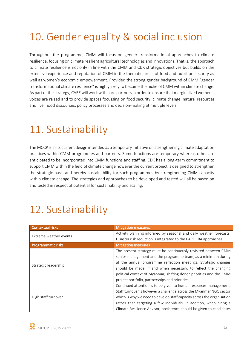# 10. Gender equality & social inclusion

Throughout the programme, CMM will focus on gender transformational approaches to climate resilience, focusing on climate resilient agricultural technologies and innovations. That is, the approach to climate resilience is not only in line with the CMM and CDK strategic objectives but builds on the extensive experience and reputation of CMM in the thematic areas of food and nutrition security as well as women's economic empowerment. Provided the strong gender background of CMM "gender transformational climate resilience" is highly likely to become the niche of CMM within climate change. As part of the strategy, CARE will work with core partners in order to ensure that marginalized women's voices are raised and to provide spaces focussing on food security, climate change, natural resources and livelihood discourses, policy processes and decision-making at multiple levels.

### 11. Sustainability

The MCCP is in its current design intended as a temporary initiative on strengthening climate adaptation practices within CMM programmes and partners. Some functions are temporary whereas other are anticipated to be incorporated into CMM functions and staffing. CDK has a long-term commitment to support CMM within the field of climate change however the current project is designed to strengthen the strategic basis and hereby sustainability for such programmes by strengthening CMM capacity within climate change. The strategies and approaches to be developed and tested will all be based on and tested in respect of potential for sustainability and scaling.

# 12. Sustainability

| <b>Contextual risks</b> | <b>Mitigation measures</b>                                             |
|-------------------------|------------------------------------------------------------------------|
| Extreme weather events  | Activity planning informed by seasonal and daily weather forecasts.    |
|                         | Disaster risk reduction is integrated to the CARE CBA approaches.      |
| Programmatic risks      | <b>Mitigation measures</b>                                             |
|                         | The present strategy must be continuously revisited between CMM        |
|                         | senior management and the programme team, as a minimum during          |
| Strategic leadership    | at the annual programme reflection meetings. Strategic changes         |
|                         | should be made, if and when necessary, to reflect the changing         |
|                         | political context of Myanmar, shifting donor priorities and the CMM    |
|                         | project portfolio, partnerships and priorities.                        |
|                         | Continued attention is to be given to human resources management.      |
|                         | Staff turnover is however a challenge across the Myanmar NGO sector    |
| High staff turnover     | which is why we need to develop staff capacity across the organisation |
|                         | rather than targeting a few individuals. In addition, when hiring a    |
|                         | Climate Resilience Advisor, preference should be given to candidates   |